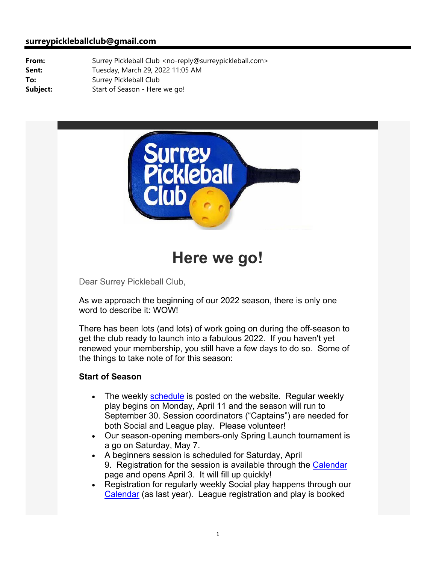#### **surreypickleballclub@gmail.com**

**From:** Surrey Pickleball Club <no-reply@surreypickleball.com> **Sent:** Tuesday, March 29, 2022 11:05 AM **To:** Surrey Pickleball Club **Subject:** Start of Season - Here we go!



# **Here we go!**

Dear Surrey Pickleball Club,

As we approach the beginning of our 2022 season, there is only one word to describe it: WOW!

There has been lots (and lots) of work going on during the off-season to get the club ready to launch into a fabulous 2022. If you haven't yet renewed your membership, you still have a few days to do so. Some of the things to take note of for this season:

#### **Start of Season**

- The weekly schedule is posted on the website. Regular weekly play begins on Monday, April 11 and the season will run to September 30. Session coordinators ("Captains") are needed for both Social and League play. Please volunteer!
- Our season-opening members-only Spring Launch tournament is a go on Saturday, May 7.
- A beginners session is scheduled for Saturday, April 9. Registration for the session is available through the Calendar page and opens April 3. It will fill up quickly!
- Registration for regularly weekly Social play happens through our Calendar (as last year). League registration and play is booked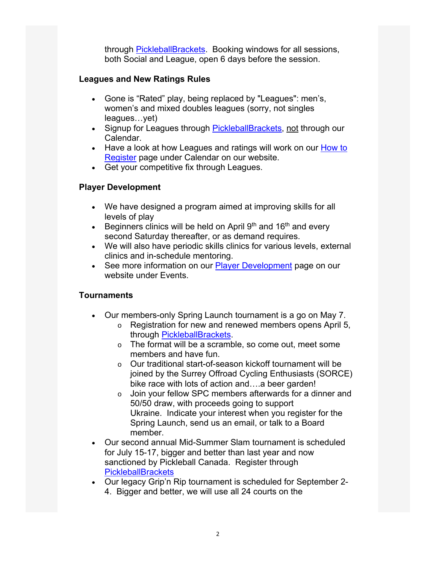through PickleballBrackets. Booking windows for all sessions, both Social and League, open 6 days before the session.

#### **Leagues and New Ratings Rules**

- Gone is "Rated" play, being replaced by "Leagues": men's, women's and mixed doubles leagues (sorry, not singles leagues…yet)
- Signup for Leagues through PickleballBrackets, not through our Calendar.
- Have a look at how Leagues and ratings will work on our How to Register page under Calendar on our website.
- Get your competitive fix through Leagues.

## **Player Development**

- We have designed a program aimed at improving skills for all levels of play
- **Beginners clinics will be held on April 9th and 16th and every** second Saturday thereafter, or as demand requires.
- We will also have periodic skills clinics for various levels, external clinics and in-schedule mentoring.
- See more information on our Player Development page on our website under Events.

## **Tournaments**

- Our members-only Spring Launch tournament is a go on May 7.
	- o Registration for new and renewed members opens April 5, through PickleballBrackets.
	- o The format will be a scramble, so come out, meet some members and have fun.
	- o Our traditional start-of-season kickoff tournament will be joined by the Surrey Offroad Cycling Enthusiasts (SORCE) bike race with lots of action and….a beer garden!
	- o Join your fellow SPC members afterwards for a dinner and 50/50 draw, with proceeds going to support Ukraine. Indicate your interest when you register for the Spring Launch, send us an email, or talk to a Board member.
- Our second annual Mid-Summer Slam tournament is scheduled for July 15-17, bigger and better than last year and now sanctioned by Pickleball Canada. Register through **PickleballBrackets**
- Our legacy Grip'n Rip tournament is scheduled for September 2- 4. Bigger and better, we will use all 24 courts on the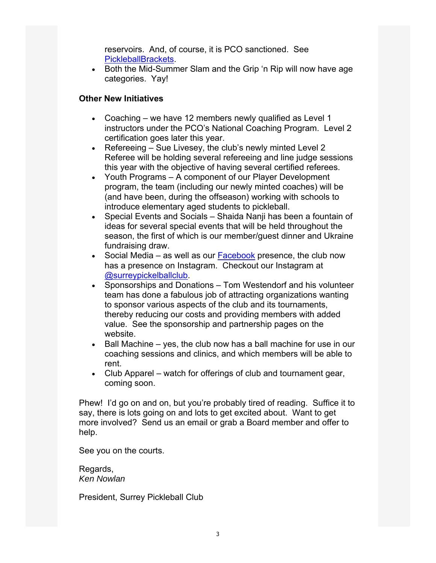reservoirs. And, of course, it is PCO sanctioned. See PickleballBrackets.

• Both the Mid-Summer Slam and the Grip 'n Rip will now have age categories. Yay!

#### **Other New Initiatives**

- Coaching we have 12 members newly qualified as Level 1 instructors under the PCO's National Coaching Program. Level 2 certification goes later this year.
- Extemble 1 Refereeing Sue Livesey, the club's newly minted Level 2 Referee will be holding several refereeing and line judge sessions this year with the objective of having several certified referees.
- Youth Programs A component of our Player Development program, the team (including our newly minted coaches) will be (and have been, during the offseason) working with schools to introduce elementary aged students to pickleball.
- Special Events and Socials Shaida Nanji has been a fountain of ideas for several special events that will be held throughout the season, the first of which is our member/guest dinner and Ukraine fundraising draw.
- Social Media as well as our Facebook presence, the club now has a presence on Instagram. Checkout our Instagram at @surreypickelballclub.
- Sponsorships and Donations Tom Westendorf and his volunteer team has done a fabulous job of attracting organizations wanting to sponsor various aspects of the club and its tournaments, thereby reducing our costs and providing members with added value. See the sponsorship and partnership pages on the website.
- $\bullet$  Ball Machine yes, the club now has a ball machine for use in our coaching sessions and clinics, and which members will be able to rent.
- Club Apparel watch for offerings of club and tournament gear, coming soon.

Phew! I'd go on and on, but you're probably tired of reading. Suffice it to say, there is lots going on and lots to get excited about. Want to get more involved? Send us an email or grab a Board member and offer to help.

See you on the courts.

Regards, *Ken Nowlan*

President, Surrey Pickleball Club